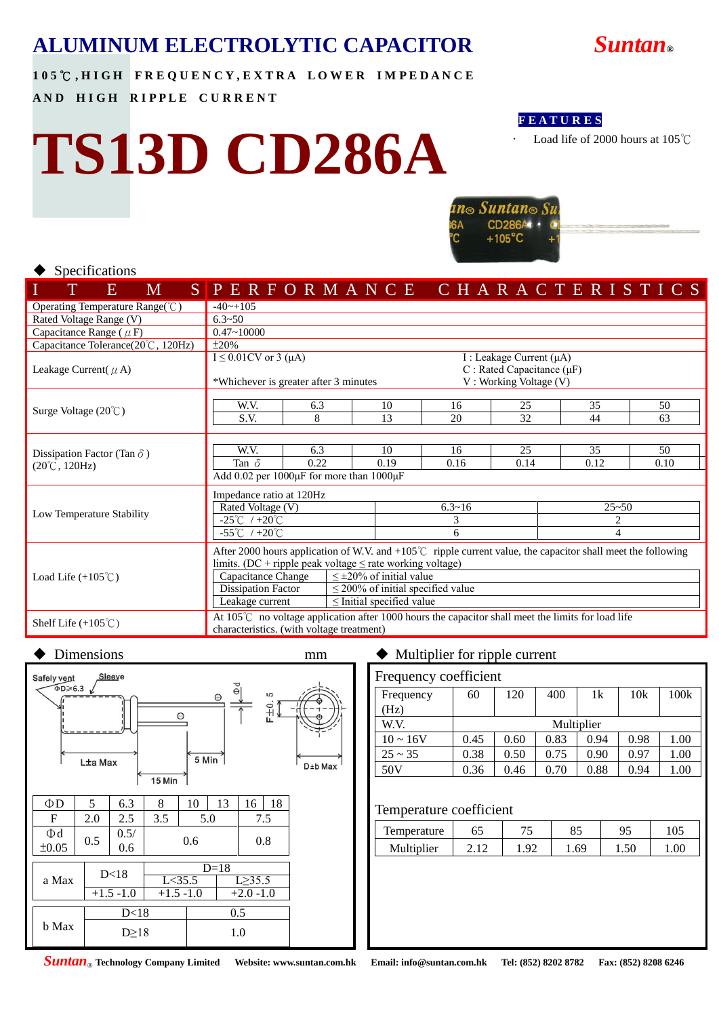

**1 0 5** ℃ **, H I G H F R E Q U E N C Y , E X T R A L O W E R I M P E D A N C E** 

**AND HIGH RIPPLE CURRENT** 

# **TS13D CD286A**



Load life of 2000 hours at 105℃



#### ◆ Specifications

|                                                | E | M                         |  | SPERFORMANCE CHARACTERISTICS                                                                                         |                                                        |  |      |                                        |            |                                  |  |      |    |                                                            |      |    |  |           |  |    |  |      |  |  |
|------------------------------------------------|---|---------------------------|--|----------------------------------------------------------------------------------------------------------------------|--------------------------------------------------------|--|------|----------------------------------------|------------|----------------------------------|--|------|----|------------------------------------------------------------|------|----|--|-----------|--|----|--|------|--|--|
| Operating Temperature Range(°C)<br>$-40$ ~+105 |   |                           |  |                                                                                                                      |                                                        |  |      |                                        |            |                                  |  |      |    |                                                            |      |    |  |           |  |    |  |      |  |  |
| Rated Voltage Range (V)                        |   |                           |  | $6.3 - 50$                                                                                                           |                                                        |  |      |                                        |            |                                  |  |      |    |                                                            |      |    |  |           |  |    |  |      |  |  |
| Capacitance Range ( $\mu$ F)                   |   |                           |  | $0.47 - 10000$                                                                                                       |                                                        |  |      |                                        |            |                                  |  |      |    |                                                            |      |    |  |           |  |    |  |      |  |  |
| Capacitance Tolerance(20°C, 120Hz)             |   |                           |  | $\pm 20\%$                                                                                                           |                                                        |  |      |                                        |            |                                  |  |      |    |                                                            |      |    |  |           |  |    |  |      |  |  |
|                                                |   |                           |  |                                                                                                                      | $I \leq 0.01$ CV or 3 (µA)<br>I : Leakage Current (µA) |  |      |                                        |            |                                  |  |      |    |                                                            |      |    |  |           |  |    |  |      |  |  |
| Leakage Current( $\mu$ A)                      |   |                           |  | *Whichever is greater after 3 minutes                                                                                |                                                        |  |      |                                        |            |                                  |  |      |    | C : Rated Capacitance ( $\mu$ F)<br>V: Working Voltage (V) |      |    |  |           |  |    |  |      |  |  |
|                                                |   |                           |  |                                                                                                                      |                                                        |  |      |                                        |            |                                  |  |      |    |                                                            |      |    |  |           |  |    |  |      |  |  |
|                                                |   |                           |  | W.V.                                                                                                                 |                                                        |  | 6.3  |                                        |            | 10                               |  | 16   |    |                                                            | 25   |    |  | 35        |  |    |  | 50   |  |  |
| Surge Voltage $(20^{\circ}C)$                  |   | S.V.                      |  |                                                                                                                      | 8                                                      |  |      | 13                                     |            | 20                               |  |      | 32 |                                                            |      | 44 |  |           |  | 63 |  |      |  |  |
|                                                |   |                           |  |                                                                                                                      |                                                        |  |      |                                        |            |                                  |  |      |    |                                                            |      |    |  |           |  |    |  |      |  |  |
| Dissipation Factor (Tan $\delta$ )             |   |                           |  | W.V.                                                                                                                 |                                                        |  | 6.3  |                                        |            | 10                               |  | 16   |    |                                                            | 25   |    |  | 35        |  |    |  | 50   |  |  |
| $(20^{\circ}\text{C}, 120\text{Hz})$           |   |                           |  | Tan $\delta$                                                                                                         |                                                        |  | 0.22 |                                        |            | 0.19                             |  | 0.16 |    |                                                            | 0.14 |    |  | 0.12      |  |    |  | 0.10 |  |  |
|                                                |   |                           |  | Add 0.02 per 1000µF for more than 1000µF                                                                             |                                                        |  |      |                                        |            |                                  |  |      |    |                                                            |      |    |  |           |  |    |  |      |  |  |
|                                                |   |                           |  | Impedance ratio at 120Hz                                                                                             |                                                        |  |      |                                        |            |                                  |  |      |    |                                                            |      |    |  |           |  |    |  |      |  |  |
|                                                |   |                           |  | Rated Voltage (V)                                                                                                    |                                                        |  |      |                                        | $6.3 - 16$ |                                  |  |      |    |                                                            |      |    |  | $25 - 50$ |  |    |  |      |  |  |
| Low Temperature Stability                      |   |                           |  | $-25^{\circ}$ C / +20 $^{\circ}$ C                                                                                   |                                                        |  |      | 3                                      |            |                                  |  | 2    |    |                                                            |      |    |  |           |  |    |  |      |  |  |
|                                                |   |                           |  | $-55^{\circ}$ C / +20 $^{\circ}$ C                                                                                   |                                                        |  |      | 6                                      |            |                                  |  |      |    | $\overline{4}$                                             |      |    |  |           |  |    |  |      |  |  |
|                                                |   |                           |  | After 2000 hours application of W.V. and $+105^{\circ}$ ripple current value, the capacitor shall meet the following |                                                        |  |      |                                        |            |                                  |  |      |    |                                                            |      |    |  |           |  |    |  |      |  |  |
|                                                |   |                           |  | limits. (DC + ripple peak voltage $\leq$ rate working voltage)                                                       |                                                        |  |      |                                        |            |                                  |  |      |    |                                                            |      |    |  |           |  |    |  |      |  |  |
| Load Life $(+105^{\circ}C)$                    |   |                           |  | Capacitance Change                                                                                                   |                                                        |  |      |                                        |            | $\leq \pm 20\%$ of initial value |  |      |    |                                                            |      |    |  |           |  |    |  |      |  |  |
|                                                |   | <b>Dissipation Factor</b> |  |                                                                                                                      |                                                        |  |      | $\leq$ 200% of initial specified value |            |                                  |  |      |    |                                                            |      |    |  |           |  |    |  |      |  |  |
|                                                |   |                           |  | Leakage current                                                                                                      |                                                        |  |      |                                        |            | $\le$ Initial specified value    |  |      |    |                                                            |      |    |  |           |  |    |  |      |  |  |
|                                                |   |                           |  | At 105℃ no voltage application after 1000 hours the capacitor shall meet the limits for load life                    |                                                        |  |      |                                        |            |                                  |  |      |    |                                                            |      |    |  |           |  |    |  |      |  |  |
| Shelf Life $(+105^{\circ}C)$                   |   |                           |  | characteristics. (with voltage treatment)                                                                            |                                                        |  |      |                                        |            |                                  |  |      |    |                                                            |      |    |  |           |  |    |  |      |  |  |



### ◆ Dimensions mm → Multiplier for ripple current

| Frequency coefficient |            |      |      |      |      |      |  |  |  |  |
|-----------------------|------------|------|------|------|------|------|--|--|--|--|
| Frequency             | 60         | 120  | 400  | 1k   | 10k  | 100k |  |  |  |  |
| (Hz)                  |            |      |      |      |      |      |  |  |  |  |
| W.V.                  | Multiplier |      |      |      |      |      |  |  |  |  |
| $10 \sim 16V$         | 0.45       | 0.60 | 0.83 | 0.94 | 0.98 | 1.00 |  |  |  |  |
| $25 \sim 35$          | 0.38       | 0.50 | 0.75 | 0.90 | 0.97 | 1.00 |  |  |  |  |
| 50V                   | 0.36       | 0.46 | 0.70 | 0.88 | 0.94 | 1.00 |  |  |  |  |

#### Temperature coefficient

| Temperature | υJ             | 75       | oς<br>റാ | ۵ς         | <b>ιυ.</b> |
|-------------|----------------|----------|----------|------------|------------|
| Multiplier  | 1 <sub>2</sub> | $\Omega$ | 1.69     | ΕC<br>1.JU | .00        |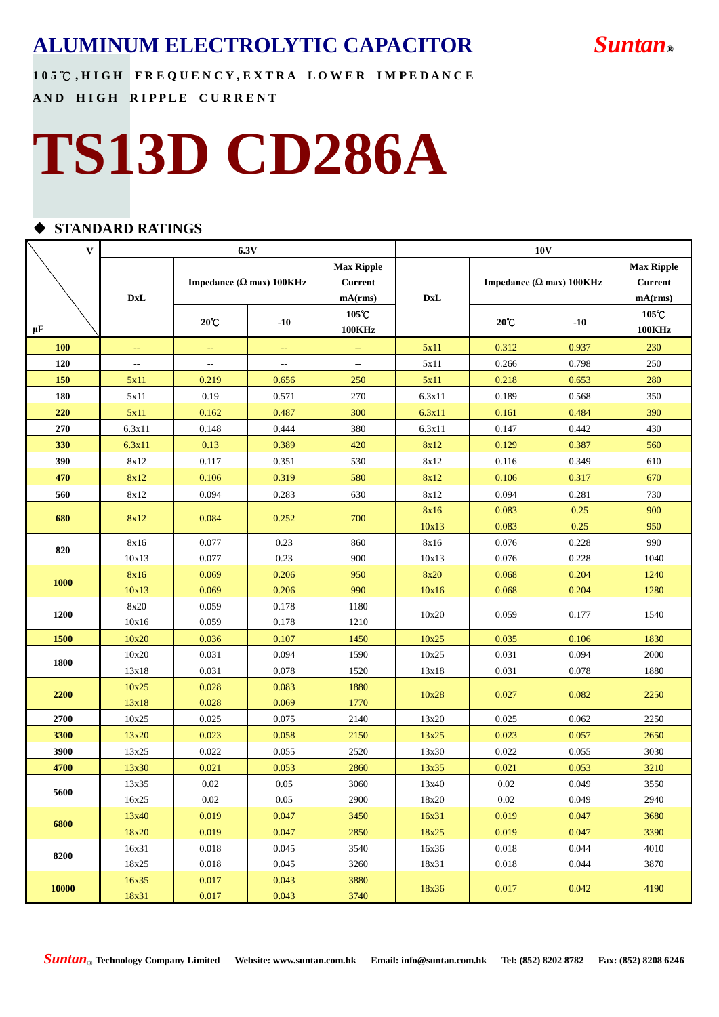**1 0 5** ℃ **, H I G H F R E Q U E N C Y , E X T R A L O W E R I M P E D A N C E AND HIGH RIPPLE CURRENT** 

# **TS13D CD286A**

#### **STANDARD RATINGS**

| $\mathbf{V}$ |                | 6.3V                                          |                |                   | 10 <sub>V</sub> |                                  |                |                   |  |  |  |
|--------------|----------------|-----------------------------------------------|----------------|-------------------|-----------------|----------------------------------|----------------|-------------------|--|--|--|
|              |                |                                               |                | <b>Max Ripple</b> |                 |                                  |                | <b>Max Ripple</b> |  |  |  |
|              |                | Impedance ( $\Omega$ max) 100KHz              |                | <b>Current</b>    |                 | Impedance ( $\Omega$ max) 100KHz | <b>Current</b> |                   |  |  |  |
|              | <b>DxL</b>     |                                               |                | mA(rms)           | <b>DxL</b>      |                                  |                | mA(rms)           |  |  |  |
|              |                | $20^{\circ}$ C                                | $-10$          | 105℃              |                 | $20^{\circ}$ C                   | $-10$          | 105°C             |  |  |  |
| $\mu$ F      |                |                                               |                | <b>100KHz</b>     |                 |                                  |                | <b>100KHz</b>     |  |  |  |
| 100          | $\rightarrow$  | $\mathord{\hspace{1pt}\text{--}\hspace{1pt}}$ | $\rightarrow$  | 44                | 5x11            | 0.312                            | 0.937          | 230               |  |  |  |
| 120          | $\overline{a}$ | $\overline{a}$                                | $\overline{a}$ | $\overline{a}$    | 5x11            | 0.266                            | 0.798          | 250               |  |  |  |
| 150          | 5x11           | 0.219                                         | 0.656          | 250               | 5x11            | 0.218                            | 0.653          | 280               |  |  |  |
| 180          | 5x11           | 0.19                                          | 0.571          | 270               | 6.3x11          | 0.189                            | 0.568          | 350               |  |  |  |
| 220          | 5x11           | 0.162                                         | 0.487          | 300               | 6.3x11          | 0.161                            | 0.484          | 390               |  |  |  |
| 270          | 6.3x11         | 0.148                                         | 0.444          | 380               | 6.3x11          | 0.147                            | 0.442          | 430               |  |  |  |
| 330          | 6.3x11         | 0.13                                          | 0.389          | 420               | 8x12            | 0.129                            | 0.387          | 560               |  |  |  |
| 390          | 8x12           | 0.117                                         | 0.351          | 530               | 8x12            | 0.116                            | 0.349          | 610               |  |  |  |
| 470          | 8x12           | 0.106                                         | 0.319          | 580               | 8x12            | 0.106                            | 0.317          | 670               |  |  |  |
| 560          | 8x12           | 0.094                                         | 0.283          | 630               | 8x12            | 0.094                            | 0.281          | 730               |  |  |  |
| 680          | 8x12           | 0.084                                         | 0.252          | 700               | 8x16            | 0.083                            | 0.25           | 900               |  |  |  |
|              |                |                                               |                |                   | 10x13           | 0.083                            | 0.25           | 950               |  |  |  |
| 820          | 8x16           | 0.077                                         | 0.23           | 860               | 8x16            | 0.076                            | 0.228          | 990               |  |  |  |
|              | 10x13          | 0.077                                         | 0.23           | 900               | 10x13           | 0.076                            | 0.228          | 1040              |  |  |  |
| 1000         | 8x16           | 0.069                                         | 0.206          | 950               | 8x20            | 0.068                            | 0.204          | 1240              |  |  |  |
|              | 10x13          | 0.069                                         | 0.206          | 990               | 10x16           | 0.068                            | 0.204          | 1280              |  |  |  |
| 1200         | 8x20           | 0.059                                         | 0.178          | 1180              | 10x20           | 0.059                            | 0.177          | 1540              |  |  |  |
|              | 10x16          | 0.059                                         | 0.178          | 1210              |                 |                                  |                |                   |  |  |  |
| 1500         | 10x20          | 0.036                                         | 0.107          | 1450              | 10x25           | 0.035                            | 0.106          | 1830              |  |  |  |
| 1800         | 10x20          | 0.031                                         | 0.094          | 1590              | 10x25           | 0.031                            | 0.094          | 2000              |  |  |  |
|              | 13x18          | 0.031                                         | 0.078          | 1520              | 13x18           | 0.031                            | 0.078          | 1880              |  |  |  |
| 2200         | 10x25          | 0.028                                         | 0.083          | 1880              | 10x28           | 0.027                            | 0.082          | 2250              |  |  |  |
|              | 13x18          | 0.028                                         | 0.069          | 1770              |                 |                                  |                |                   |  |  |  |
| 2700         | 10x25          | 0.025                                         | 0.075          | 2140              | 13x20           | 0.025                            | 0.062          | 2250              |  |  |  |
| 3300         | 13x20          | 0.023                                         | 0.058          | 2150              | 13x25           | 0.023                            | 0.057          | 2650              |  |  |  |
| 3900         | 13x25          | 0.022                                         | 0.055          | 2520              | 13x30           | 0.022                            | 0.055          | 3030              |  |  |  |
| 4700         | 13x30          | 0.021                                         | 0.053          | 2860              | 13x35           | 0.021                            | 0.053          | 3210              |  |  |  |
| 5600         | 13x35          | $0.02\,$                                      | $0.05\,$       | 3060              | 13x40           | $0.02\,$                         | 0.049          | 3550              |  |  |  |
|              | 16x25          | $0.02\,$                                      | 0.05           | 2900              | 18x20           | 0.02                             | 0.049          | 2940              |  |  |  |
| 6800         | 13x40          | 0.019                                         | 0.047          | 3450              | 16x31           | 0.019                            | 0.047          | 3680              |  |  |  |
|              | 18x20          | 0.019                                         | 0.047          | 2850              | 18x25           | 0.019                            | 0.047          | 3390              |  |  |  |
| 8200         | 16x31          | 0.018                                         | 0.045          | 3540              | 16x36           | 0.018                            | 0.044          | 4010              |  |  |  |
|              | 18x25          | 0.018                                         | 0.045          | 3260              | 18x31           | 0.018                            | 0.044          | 3870              |  |  |  |
| <b>10000</b> | 16x35          | 0.017                                         | 0.043          | 3880              | 18x36           | 0.017                            | 0.042          | 4190              |  |  |  |
|              | 18x31          | 0.017                                         | 0.043          | 3740              |                 |                                  |                |                   |  |  |  |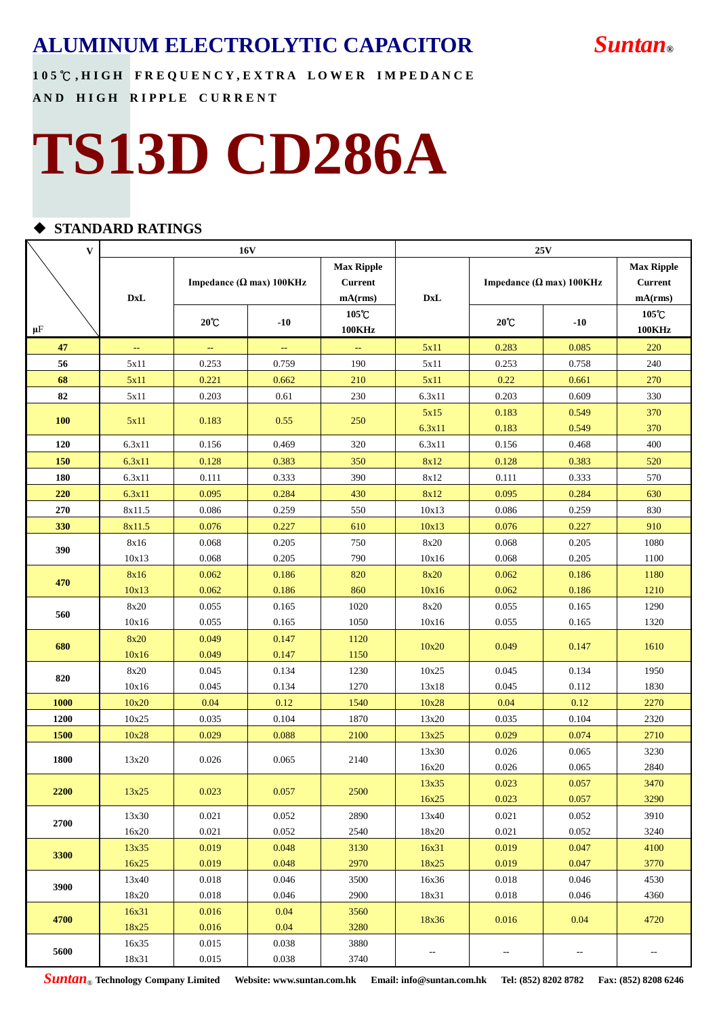**1 0 5** ℃ **, H I G H F R E Q U E N C Y , E X T R A L O W E R I M P E D A N C E AND HIGH RIPPLE CURRENT** 

# **TS13D CD286A**

### **STANDARD RATINGS**

| V           | <b>16V</b>     |                |                                  |                                                | 25V            |                                  |                                                |                        |  |  |  |
|-------------|----------------|----------------|----------------------------------|------------------------------------------------|----------------|----------------------------------|------------------------------------------------|------------------------|--|--|--|
|             | <b>DxL</b>     |                | Impedance ( $\Omega$ max) 100KHz | <b>Max Ripple</b><br><b>Current</b><br>mA(rms) | <b>DxL</b>     | Impedance ( $\Omega$ max) 100KHz | <b>Max Ripple</b><br><b>Current</b><br>mA(rms) |                        |  |  |  |
| $\mu$ F     |                | $20^{\circ}$ C | $-10$                            | 105°C<br><b>100KHz</b>                         |                | $20^{\circ}$ C                   | $-10$                                          | 105°C<br><b>100KHz</b> |  |  |  |
| 47          | ÷,             | ц.             | ц.                               | 44                                             | 5x11           | 0.283                            | 0.085                                          | 220                    |  |  |  |
| 56          | 5x11           | 0.253          | 0.759                            | 190                                            | 5x11           | 0.253                            | 0.758                                          | 240                    |  |  |  |
| 68          | 5x11           | 0.221          | 0.662                            | 210                                            | 5x11           | 0.22                             | 0.661                                          | 270                    |  |  |  |
| 82          | 5x11           | 0.203          | 0.61                             | 230                                            | 6.3x11         | 0.203                            | 0.609                                          | 330                    |  |  |  |
| <b>100</b>  | 5x11           | 0.183          | 0.55                             | 250                                            | 5x15<br>6.3x11 | 0.183<br>0.183                   | 0.549<br>0.549                                 | 370<br>370             |  |  |  |
| 120         | 6.3x11         | 0.156          | 0.469                            | 320                                            | 6.3x11         | 0.156                            | 0.468                                          | 400                    |  |  |  |
| 150         | 6.3x11         | 0.128          | 0.383                            | 350                                            | 8x12           | 0.128                            | 0.383                                          | 520                    |  |  |  |
| 180         | 6.3x11         | 0.111          | 0.333                            | 390                                            | 8x12           | 0.111                            | 0.333                                          | 570                    |  |  |  |
| 220         | 6.3x11         | 0.095          | 0.284                            | 430                                            | 8x12           | 0.095                            | 0.284                                          | 630                    |  |  |  |
| 270         | 8x11.5         | 0.086          | 0.259                            | 550                                            | 10x13          | 0.086                            | 0.259                                          | 830                    |  |  |  |
| 330         | 8x11.5         | 0.076          | 0.227                            | 610                                            | 10x13          | 0.076                            | 0.227                                          | 910                    |  |  |  |
| 390         | 8x16           | 0.068          | 0.205                            | 750                                            | 8x20           | 0.068                            | 0.205                                          | 1080                   |  |  |  |
|             | 10x13          | 0.068          | 0.205                            | 790                                            | 10x16          | 0.068                            | 0.205                                          | 1100                   |  |  |  |
| 470         | 8x16           | 0.062          | 0.186                            | 820                                            | 8x20           | 0.062                            | 0.186                                          | 1180                   |  |  |  |
|             | 10x13          | 0.062          | 0.186                            | 860                                            | 10x16          | 0.062                            | 0.186                                          | 1210                   |  |  |  |
| 560         | 8x20           | 0.055          | 0.165                            | 1020                                           | 8x20           | 0.055                            | 0.165                                          | 1290                   |  |  |  |
|             | 10x16          | 0.055          | 0.165                            | 1050                                           | 10x16          | 0.055                            | 0.165                                          | 1320                   |  |  |  |
| 680         | 8x20           | 0.049          | 0.147                            | 1120                                           | 10x20          | 0.049                            | 0.147                                          | 1610                   |  |  |  |
|             | 10x16          | 0.049          | 0.147                            | 1150                                           |                |                                  |                                                |                        |  |  |  |
| 820         | 8x20           | 0.045          | 0.134                            | 1230                                           | 10x25          | 0.045                            | 0.134                                          | 1950                   |  |  |  |
|             | 10x16          | 0.045          | 0.134                            | 1270                                           | 13x18          | 0.045                            | 0.112                                          | 1830                   |  |  |  |
| 1000        | 10x20          | 0.04           | 0.12                             | 1540                                           | 10x28          | 0.04                             | 0.12                                           | 2270                   |  |  |  |
| <b>1200</b> | 10x25          | 0.035          | 0.104                            | 1870                                           | 13x20          | 0.035                            | 0.104                                          | 2320                   |  |  |  |
| 1500        | 10x28          | 0.029          | 0.088                            | 2100                                           | 13x25          | 0.029                            | 0.074                                          | 2710                   |  |  |  |
| 1800        | 13x20          | 0.026          | 0.065                            | 2140                                           | 13x30          | 0.026                            | 0.065                                          | 3230                   |  |  |  |
|             |                |                |                                  |                                                | 16x20          | 0.026                            | 0.065                                          | 2840                   |  |  |  |
| <b>2200</b> | 13x25          | 0.023          | 0.057                            | 2500                                           | 13x35          | 0.023                            | 0.057                                          | 3470                   |  |  |  |
|             |                |                |                                  |                                                | 16x25          | 0.023                            | 0.057                                          | 3290                   |  |  |  |
| 2700        | 13x30<br>16x20 | 0.021<br>0.021 | 0.052<br>0.052                   | 2890<br>2540                                   | 13x40<br>18x20 | 0.021<br>0.021                   | 0.052<br>0.052                                 | 3910<br>3240           |  |  |  |
|             | 13x35          | 0.019          | 0.048                            | 3130                                           | 16x31          | 0.019                            | 0.047                                          | 4100                   |  |  |  |
| 3300        | 16x25          | 0.019          | 0.048                            | 2970                                           | 18x25          | 0.019                            | 0.047                                          | 3770                   |  |  |  |
|             | 13x40          | 0.018          | 0.046                            | 3500                                           | 16x36          | 0.018                            | 0.046                                          | 4530                   |  |  |  |
| 3900        | 18x20          | 0.018          | 0.046                            | 2900                                           | 18x31          | 0.018                            | 0.046                                          | 4360                   |  |  |  |
|             | 16x31          | 0.016          | 0.04                             | 3560                                           |                |                                  |                                                |                        |  |  |  |
| 4700        | 18x25          | 0.016          | 0.04                             | 3280                                           | 18x36          | 0.016                            | 0.04                                           | 4720                   |  |  |  |
|             | 16x35          | 0.015          | 0.038                            | 3880                                           |                |                                  |                                                |                        |  |  |  |
| 5600        | 18x31          | 0.015          | 0.038                            | 3740                                           | --             | $\overline{\phantom{a}}$         | --                                             | 44                     |  |  |  |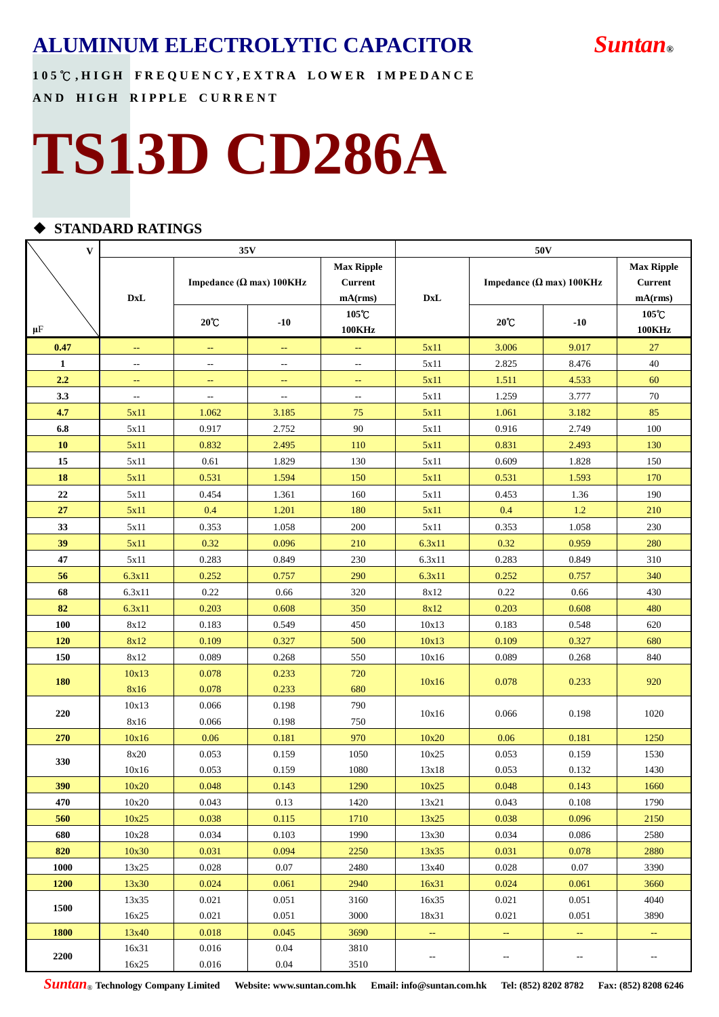**1 0 5** ℃ **, H I G H F R E Q U E N C Y , E X T R A L O W E R I M P E D A N C E AND HIGH RIPPLE CURRENT** 

# **TS13D CD286A**

### **STANDARD RATINGS**

| $\mathbf{V}$ |                                  |                          | 35 <sub>V</sub>                  |                                                | 50 <sub>V</sub>                  |                                  |                                                |                        |  |  |  |
|--------------|----------------------------------|--------------------------|----------------------------------|------------------------------------------------|----------------------------------|----------------------------------|------------------------------------------------|------------------------|--|--|--|
|              | $\mathbf{D}\mathbf{x}\mathbf{L}$ |                          | Impedance ( $\Omega$ max) 100KHz | <b>Max Ripple</b><br><b>Current</b><br>mA(rms) | $\mathbf{D}\mathbf{x}\mathbf{L}$ | Impedance ( $\Omega$ max) 100KHz | <b>Max Ripple</b><br><b>Current</b><br>mA(rms) |                        |  |  |  |
| $\mu$ F      |                                  | $20^{\circ}$ C           | $-10$                            | 105℃<br><b>100KHz</b>                          |                                  | $20^{\circ}$ C                   | $-10$                                          | 105°C<br><b>100KHz</b> |  |  |  |
| 0.47         | ÷,                               | ÷,                       | $\mathbb{L} \mathbb{L}$          | ц,                                             | 5x11                             | 3.006                            | 9.017                                          | $27\,$                 |  |  |  |
| $\mathbf{1}$ | --                               | $\overline{a}$           | $\overline{a}$                   | $\overline{\phantom{a}}$                       | 5x11                             | 2.825                            | 8.476                                          | 40                     |  |  |  |
| 2.2          | $\rightarrow$                    | $\rightarrow$            | $\mathbb{L} \mathbb{L}$          | $\mathbb{L} \mathbb{L}$                        | 5x11                             | 1.511                            | 4.533                                          | 60                     |  |  |  |
| 3.3          | --                               | $\overline{\phantom{a}}$ | ٠.                               | $\qquad \qquad -$                              | 5x11                             | 1.259                            | 3.777                                          | 70                     |  |  |  |
| 4.7          | 5x11                             | 1.062                    | 3.185                            | 75                                             | 5x11                             | 1.061                            | 3.182                                          | 85                     |  |  |  |
| 6.8          | 5x11                             | 0.917                    | 2.752                            | 90                                             | 5x11                             | 0.916                            | 2.749                                          | 100                    |  |  |  |
| 10           | 5x11                             | 0.832                    | 2.495                            | 110                                            | 5x11                             | 0.831                            | 2.493                                          | 130                    |  |  |  |
| 15           | 5x11                             | 0.61                     | 1.829                            | 130                                            | 5x11                             | 0.609                            | 1.828                                          | 150                    |  |  |  |
| 18           | 5x11                             | 0.531                    | 1.594                            | 150                                            | 5x11                             | 0.531                            | 1.593                                          | 170                    |  |  |  |
| 22           | 5x11                             | 0.454                    | 1.361                            | 160                                            | 5x11                             | 0.453                            | 1.36                                           | 190                    |  |  |  |
| 27           | 5x11                             | 0.4                      | 1.201                            | 180                                            | 5x11                             | 0.4                              | 1.2                                            | 210                    |  |  |  |
| 33           | 5x11                             | 0.353                    | 1.058                            | 200                                            | 5x11                             | 0.353                            | 1.058                                          | 230                    |  |  |  |
| 39           | 5x11                             | 0.32                     | 0.096                            | 210                                            | 6.3x11                           | 0.32                             | 0.959                                          | 280                    |  |  |  |
| 47           | 5x11                             | 0.283                    | 0.849                            | 230                                            | 6.3x11                           | 0.283                            | 0.849                                          | 310                    |  |  |  |
| 56           | 6.3x11                           | 0.252                    | 0.757                            | 290                                            | 6.3x11                           | 0.252                            | 0.757                                          | 340                    |  |  |  |
| 68           | 6.3x11                           | 0.22                     | 0.66                             | 320                                            | 8x12                             | 0.22                             | 0.66                                           | 430                    |  |  |  |
| 82           | 6.3x11                           | 0.203                    | 0.608                            | 350                                            | 8x12                             | 0.203                            | 0.608                                          | 480                    |  |  |  |
| 100          | 8x12                             | 0.183                    | 0.549                            | 450                                            | 10x13                            | 0.183                            | 0.548                                          | 620                    |  |  |  |
| 120          | 8x12                             | 0.109                    | 0.327                            | 500                                            | 10x13                            | 0.109                            | 0.327                                          | 680                    |  |  |  |
| 150          | 8x12                             | 0.089                    | 0.268                            | 550                                            | 10x16                            | 0.089                            | 0.268                                          | 840                    |  |  |  |
| 180          | 10x13                            | 0.078                    | 0.233                            | 720                                            | 10x16                            | 0.078                            | 0.233                                          | 920                    |  |  |  |
|              | 8x16                             | 0.078                    | 0.233                            | 680                                            |                                  |                                  |                                                |                        |  |  |  |
| 220          | 10x13                            | 0.066                    | 0.198                            | 790                                            | 10x16                            | 0.066                            | 0.198                                          | 1020                   |  |  |  |
|              | 8x16                             | 0.066                    | 0.198                            | 750                                            |                                  |                                  |                                                |                        |  |  |  |
| 270          | 10x16                            | 0.06                     | 0.181                            | 970                                            | 10x20                            | 0.06                             | 0.181                                          | 1250                   |  |  |  |
| 330          | 8x20                             | 0.053                    | 0.159                            | 1050                                           | 10x25                            | 0.053                            | 0.159                                          | 1530                   |  |  |  |
|              | 10x16                            | 0.053                    | 0.159                            | 1080                                           | 13x18                            | 0.053                            | 0.132                                          | 1430                   |  |  |  |
| 390          | 10x20                            | 0.048                    | 0.143                            | 1290                                           | 10x25                            | 0.048                            | 0.143                                          | 1660                   |  |  |  |
| 470          | 10x20                            | 0.043                    | 0.13                             | 1420                                           | 13x21                            | 0.043                            | 0.108                                          | 1790                   |  |  |  |
| 560          | 10x25                            | 0.038                    | 0.115                            | 1710                                           | 13x25                            | 0.038                            | 0.096                                          | 2150                   |  |  |  |
| 680          | 10x28                            | 0.034                    | 0.103                            | 1990                                           | 13x30                            | 0.034                            | 0.086                                          | 2580                   |  |  |  |
| 820          | 10x30                            | 0.031                    | 0.094                            | 2250                                           | 13x35                            | 0.031                            | 0.078                                          | 2880                   |  |  |  |
| 1000         | 13x25                            | 0.028                    | 0.07                             | 2480                                           | 13x40                            | 0.028                            | 0.07                                           | 3390                   |  |  |  |
| 1200         | 13x30                            | 0.024                    | 0.061                            | 2940                                           | 16x31                            | 0.024                            | 0.061                                          | 3660                   |  |  |  |
| 1500         | 13x35                            | 0.021                    | 0.051                            | 3160                                           | 16x35                            | 0.021                            | 0.051                                          | 4040                   |  |  |  |
|              | 16x25                            | 0.021                    | 0.051                            | 3000                                           | 18x31                            | 0.021                            | 0.051                                          | 3890                   |  |  |  |
| 1800         | 13x40                            | 0.018                    | 0.045                            | 3690                                           | $\rightarrow$                    | $\rightarrow$                    | $\rightarrow$                                  | $\rightarrow$          |  |  |  |
| 2200         | 16x31                            | 0.016                    | 0.04                             | 3810                                           | --                               | $\overline{\phantom{a}}$         | --                                             | $-$                    |  |  |  |
|              | 16x25                            | 0.016                    | 0.04                             | 3510                                           |                                  |                                  |                                                |                        |  |  |  |